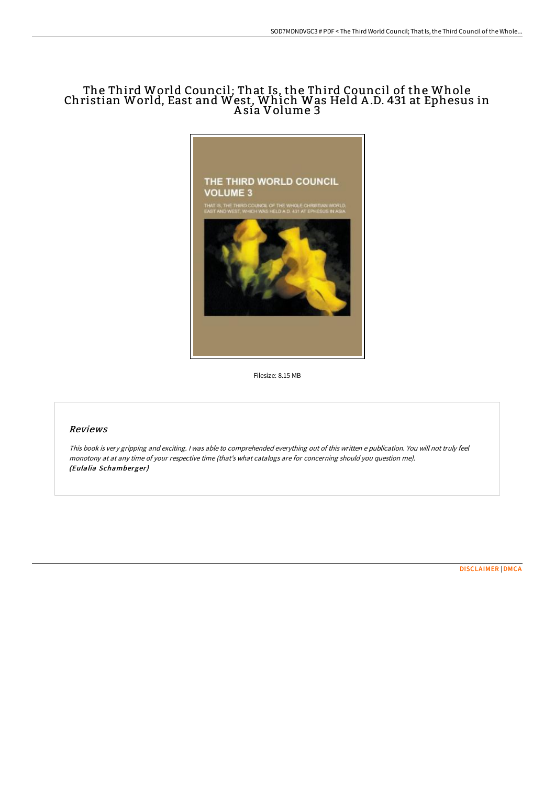## The Third World Council; That Is, the Third Council of the Whole Christian World, East and West, Which Was Held A .D. 431 at Ephesus in A sia Volume 3



Filesize: 8.15 MB

# Reviews

This book is very gripping and exciting. <sup>I</sup> was able to comprehended everything out of this written <sup>e</sup> publication. You will not truly feel monotony at at any time of your respective time (that's what catalogs are for concerning should you question me). (Eulalia Schamberger)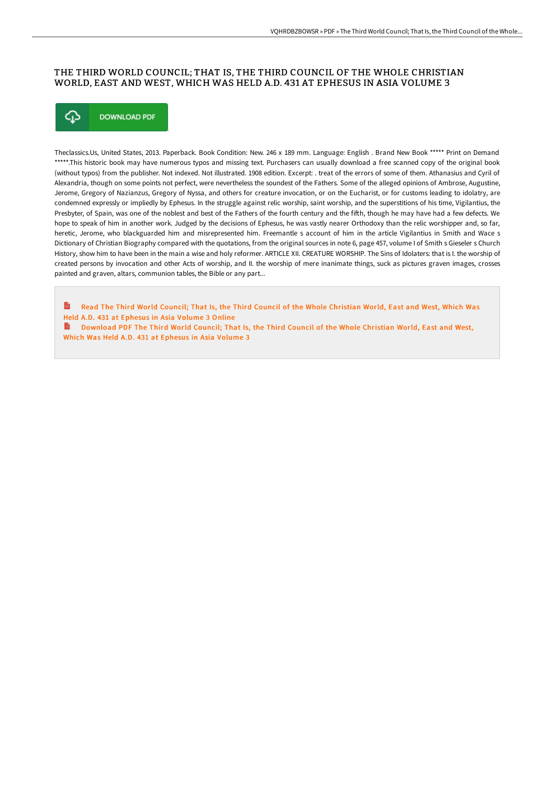## THE THIRD WORLD COUNCIL; THAT IS, THE THIRD COUNCIL OF THE WHOLE CHRISTIAN WORLD, EAST AND WEST, WHICH WAS HELD A.D. 431 AT EPHESUS IN ASIA VOLUME 3



Theclassics.Us, United States, 2013. Paperback. Book Condition: New. 246 x 189 mm. Language: English . Brand New Book \*\*\*\*\* Print on Demand \*\*\*\*\*.This historic book may have numerous typos and missing text. Purchasers can usually download a free scanned copy of the original book (without typos) from the publisher. Not indexed. Not illustrated. 1908 edition. Excerpt: . treat of the errors of some of them. Athanasius and Cyril of Alexandria, though on some points not perfect, were nevertheless the soundest of the Fathers. Some of the alleged opinions of Ambrose, Augustine, Jerome, Gregory of Nazianzus, Gregory of Nyssa, and others for creature invocation, or on the Eucharist, or for customs leading to idolatry, are condemned expressly or impliedly by Ephesus. In the struggle against relic worship, saint worship, and the superstitions of his time, Vigilantius, the Presbyter, of Spain, was one of the noblest and best of the Fathers of the fourth century and the fifth, though he may have had a few defects. We hope to speak of him in another work. Judged by the decisions of Ephesus, he was vastly nearer Orthodoxy than the relic worshipper and, so far, heretic, Jerome, who blackguarded him and misrepresented him. Freemantle s account of him in the article Vigilantius in Smith and Wace s Dictionary of Christian Biography compared with the quotations, from the original sources in note 6, page 457, volume I of Smith s Gieseler s Church History, show him to have been in the main a wise and holy reformer. ARTICLE XII. CREATURE WORSHIP. The Sins of Idolaters: that is I. the worship of created persons by invocation and other Acts of worship, and II. the worship of mere inanimate things, suck as pictures graven images, crosses painted and graven, altars, communion tables, the Bible or any part...

 $\mathbf{r}$ Read The Third World Council; That Is, the Third Council of the Whole [Christian](http://digilib.live/the-third-world-council-that-is-the-third-counci.html) World, East and West, Which Was Held A.D. 431 at Ephesus in Asia Volume 3 Online

[Download](http://digilib.live/the-third-world-council-that-is-the-third-counci.html) PDF The Third World Council; That Is, the Third Council of the Whole Christian World, East and West, Which Was Held A.D. 431 at Ephesus in Asia Volume 3